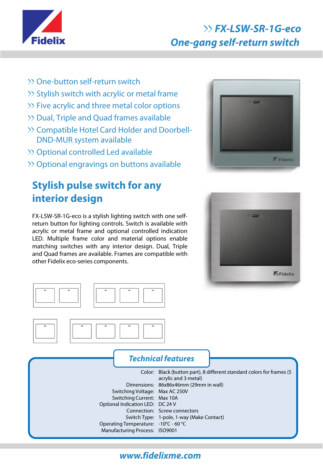

# **FX-LSW-SR-1G-eco One-gang self-return switch**

- >> One-button self-return switch
- $\gg$  Stylish switch with acrylic or metal frame
- $\gg$  Five acrylic and three metal color options
- Dual, Triple and Quad frames available
- Compatible Hotel Card Holder and Doorbell-DND-MUR system available
- >> Optional controlled Led available
- Optional engravings on buttons available

## **Stylish pulse switch for any interior design**

FX-LSW-SR-1G-eco is a stylish lighting switch with one selfreturn button for lighting controls. Switch is available with acrylic or metal frame and optional controlled indication LED. Multiple frame color and material options enable matching switches with any interior design. Dual, Triple and Quad frames are available. Frames are compatible with other Fidelix eco-series components.









#### **Technical features**

Color: Black (button part), 8 different standard colors for frames (5 Dimensions: 86x86x46mm (29mm in wall) Switching Voltage: Max AC 250V Switching Current: Max 10A Optional Indication LED: DC 24 V Connection: Screw connectors Switch Type: 1-pole, 1-way (Make Contact) Operating Temperature: -10<sup>°</sup>C - 60 <sup>°</sup>C Manufacturing Process: ISO9001 acrylic and 3 metal)

## **www.fidelixme.com**